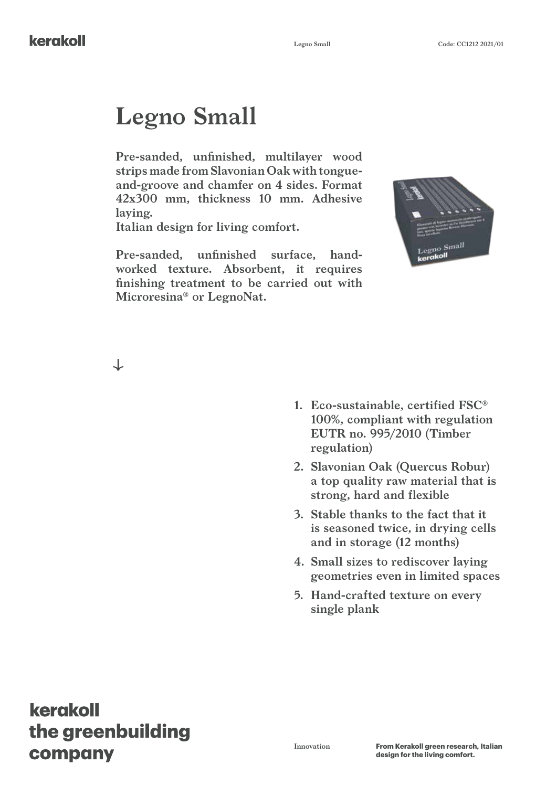# **Legno Small**

**Pre-sanded, unfinished, multilayer wood strips made from Slavonian Oak with tongueand-groove and chamfer on 4 sides. Format 42x300 mm, thickness 10 mm. Adhesive laying.**

**Italian design for living comfort.**

**Pre-sanded, unfinished surface, handworked texture. Absorbent, it requires finishing treatment to be carried out with Microresina® or LegnoNat.**



**1. Eco-sustainable, certified FSC® 100%, compliant with regulation EUTR no. 995/2010 (Timber regulation)**

**2. Slavonian Oak (Quercus Robur) a top quality raw material that is strong, hard and flexible**

**3. Stable thanks to the fact that it is seasoned twice, in drying cells and in storage (12 months)**

**4. Small sizes to rediscover laying geometries even in limited spaces**

**5. Hand-crafted texture on every single plank**

## kerakoll the greenbuilding company

 $\downarrow$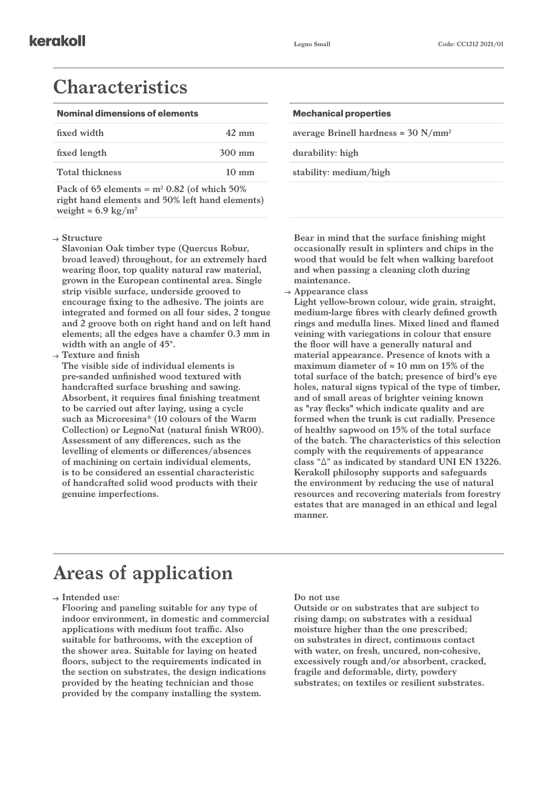#### **Characteristics**

| <b>Nominal dimensions of elements</b> | <b>Mechanical properties</b> |  |
|---------------------------------------|------------------------------|--|
|---------------------------------------|------------------------------|--|

| fixed width            | $42 \text{ mm}$  | average Brinell hardness $\approx 30$ N/mm <sup>2</sup> |
|------------------------|------------------|---------------------------------------------------------|
| fixed length           | $300 \text{ mm}$ | durability: high                                        |
| <b>Total thickness</b> | $10 \text{ mm}$  | stability: medium/high                                  |
|                        |                  |                                                         |

Pack of  $65$  elements  $=$   $m<sup>2</sup>$  0.82 (of which  $50\%$ ) **right hand elements and 50% left hand elements)**  weight  $\approx 6.9 \text{ kg/m}^2$ 

#### **Structure**

**Slavonian Oak timber type (Quercus Robur, broad leaved) throughout, for an extremely hard wearing floor, top quality natural raw material, grown in the European continental area. Single strip visible surface, underside grooved to encourage fixing to the adhesive. The joints are integrated and formed on all four sides, 2 tongue and 2 groove both on right hand and on left hand elements; all the edges have a chamfer 0.3 mm in width with an angle of 45°.**

**Texture and finish**

**The visible side of individual elements is pre-sanded unfinished wood textured with handcrafted surface brushing and sawing. Absorbent, it requires final finishing treatment to be carried out after laying, using a cycle such as Microresina® (10 colours of the Warm Collection) or LegnoNat (natural finish WR00). Assessment of any differences, such as the levelling of elements or differences/absences of machining on certain individual elements, is to be considered an essential characteristic of handcrafted solid wood products with their genuine imperfections.** 

| <b>Mechanical properties</b>                            |  |
|---------------------------------------------------------|--|
| average Brinell hardness $\approx 30$ N/mm <sup>2</sup> |  |
| durability: high                                        |  |
| stability: medium/high                                  |  |

**Bear in mind that the surface finishing might occasionally result in splinters and chips in the wood that would be felt when walking barefoot and when passing a cleaning cloth during maintenance.**

**Appearance class**

**Light yellow-brown colour, wide grain, straight, medium-large fibres with clearly defined growth rings and medulla lines. Mixed lined and flamed veining with variegations in colour that ensure the floor will have a generally natural and material appearance. Presence of knots with a maximum diameter of ≈ 10 mm on 15% of the total surface of the batch; presence of bird's eye holes, natural signs typical of the type of timber, and of small areas of brighter veining known as "ray flecks" which indicate quality and are formed when the trunk is cut radially. Presence of healthy sapwood on 15% of the total surface of the batch. The characteristics of this selection comply with the requirements of appearance class "Δ" as indicated by standard UNI EN 13226. Kerakoll philosophy supports and safeguards the environment by reducing the use of natural resources and recovering materials from forestry estates that are managed in an ethical and legal manner.**

## **Areas of application**

**Intended use:**

**Flooring and paneling suitable for any type of indoor environment, in domestic and commercial applications with medium foot traffic. Also suitable for bathrooms, with the exception of the shower area. Suitable for laying on heated floors, subject to the requirements indicated in the section on substrates, the design indications provided by the heating technician and those provided by the company installing the system.**

#### **Do not use**

**Outside or on substrates that are subject to rising damp; on substrates with a residual moisture higher than the one prescribed; on substrates in direct, continuous contact with water, on fresh, uncured, non-cohesive, excessively rough and/or absorbent, cracked, fragile and deformable, dirty, powdery substrates; on textiles or resilient substrates.**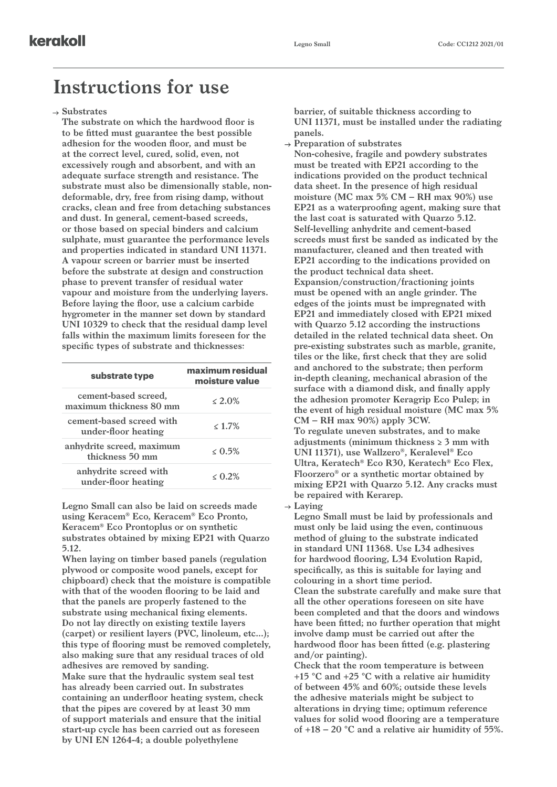#### **Instructions for use**

**Substrates**

**The substrate on which the hardwood floor is to be fitted must guarantee the best possible adhesion for the wooden floor, and must be at the correct level, cured, solid, even, not excessively rough and absorbent, and with an adequate surface strength and resistance. The substrate must also be dimensionally stable, nondeformable, dry, free from rising damp, without cracks, clean and free from detaching substances and dust. In general, cement-based screeds, or those based on special binders and calcium sulphate, must guarantee the performance levels and properties indicated in standard UNI 11371. A vapour screen or barrier must be inserted before the substrate at design and construction phase to prevent transfer of residual water vapour and moisture from the underlying layers. Before laying the floor, use a calcium carbide hygrometer in the manner set down by standard UNI 10329 to check that the residual damp level falls within the maximum limits foreseen for the specific types of substrate and thicknesses:**

| substrate type                                  | maximum residual<br>moisture value |  |
|-------------------------------------------------|------------------------------------|--|
| cement-based screed,<br>maximum thickness 80 mm | $< 2.0\%$                          |  |
| cement-based screed with<br>under-floor heating | $< 1.7\%$                          |  |
| anhydrite screed, maximum<br>thickness 50 mm    | $< 0.5\%$                          |  |
| anhydrite screed with<br>under-floor heating    | $< 0.2\%$                          |  |

**Legno Small can also be laid on screeds made using Keracem® Eco, Keracem® Eco Pronto, Keracem® Eco Prontoplus or on synthetic substrates obtained by mixing EP21 with Quarzo 5.12.**

**When laying on timber based panels (regulation plywood or composite wood panels, except for chipboard) check that the moisture is compatible with that of the wooden flooring to be laid and that the panels are properly fastened to the substrate using mechanical fixing elements. Do not lay directly on existing textile layers (carpet) or resilient layers (PVC, linoleum, etc...); this type of flooring must be removed completely, also making sure that any residual traces of old adhesives are removed by sanding. Make sure that the hydraulic system seal test has already been carried out. In substrates containing an underfloor heating system, check that the pipes are covered by at least 30 mm of support materials and ensure that the initial start-up cycle has been carried out as foreseen by UNI EN 1264-4; a double polyethylene** 

**barrier, of suitable thickness according to UNI 11371, must be installed under the radiating panels.**

- **Preparation of substrates**
- **Non-cohesive, fragile and powdery substrates must be treated with EP21 according to the indications provided on the product technical data sheet. In the presence of high residual moisture (MC max 5% CM – RH max 90%) use EP21 as a waterproofing agent, making sure that the last coat is saturated with Quarzo 5.12. Self-levelling anhydrite and cement-based screeds must first be sanded as indicated by the manufacturer, cleaned and then treated with EP21 according to the indications provided on the product technical data sheet. Expansion/construction/fractioning joints must be opened with an angle grinder. The edges of the joints must be impregnated with EP21 and immediately closed with EP21 mixed with Quarzo 5.12 according the instructions detailed in the related technical data sheet. On pre-existing substrates such as marble, granite, tiles or the like, first check that they are solid and anchored to the substrate; then perform in-depth cleaning, mechanical abrasion of the surface with a diamond disk, and finally apply the adhesion promoter Keragrip Eco Pulep; in the event of high residual moisture (MC max 5% CM – RH max 90%) apply 3CW. To regulate uneven substrates, and to make adjustments (minimum thickness ≥ 3 mm with UNI 11371), use Wallzero®, Keralevel® Eco Ultra, Keratech® Eco R30, Keratech® Eco Flex, Floorzero® or a synthetic mortar obtained by mixing EP21 with Quarzo 5.12. Any cracks must be repaired with Kerarep. Laying**

**Legno Small must be laid by professionals and must only be laid using the even, continuous method of gluing to the substrate indicated in standard UNI 11368. Use L34 adhesives for hardwood flooring, L34 Evolution Rapid, specifically, as this is suitable for laying and colouring in a short time period. Clean the substrate carefully and make sure that all the other operations foreseen on site have been completed and that the doors and windows have been fitted; no further operation that might involve damp must be carried out after the hardwood floor has been fitted (e.g. plastering and/or painting).**

**Check that the room temperature is between +15 °C and +25 °C with a relative air humidity of between 45% and 60%; outside these levels the adhesive materials might be subject to alterations in drying time; optimum reference values for solid wood flooring are a temperature of +18 – 20 °C and a relative air humidity of 55%.**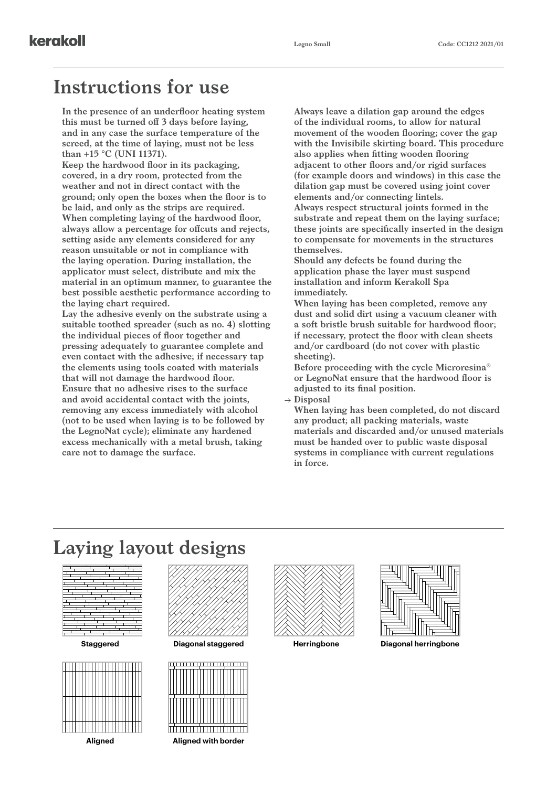#### **Instructions for use**

kerakoll

**In the presence of an underfloor heating system this must be turned off 3 days before laying, and in any case the surface temperature of the screed, at the time of laying, must not be less than +15 °C (UNI 11371).**

**Keep the hardwood floor in its packaging, covered, in a dry room, protected from the weather and not in direct contact with the ground; only open the boxes when the floor is to be laid, and only as the strips are required. When completing laying of the hardwood floor, always allow a percentage for offcuts and rejects, setting aside any elements considered for any reason unsuitable or not in compliance with the laying operation. During installation, the applicator must select, distribute and mix the material in an optimum manner, to guarantee the best possible aesthetic performance according to the laying chart required.**

**Lay the adhesive evenly on the substrate using a suitable toothed spreader (such as no. 4) slotting the individual pieces of floor together and pressing adequately to guarantee complete and even contact with the adhesive; if necessary tap the elements using tools coated with materials that will not damage the hardwood floor. Ensure that no adhesive rises to the surface and avoid accidental contact with the joints, removing any excess immediately with alcohol (not to be used when laying is to be followed by the LegnoNat cycle); eliminate any hardened excess mechanically with a metal brush, taking care not to damage the surface.**

**Always leave a dilation gap around the edges of the individual rooms, to allow for natural movement of the wooden flooring; cover the gap with the Invisibile skirting board. This procedure also applies when fitting wooden flooring adjacent to other floors and/or rigid surfaces (for example doors and windows) in this case the dilation gap must be covered using joint cover elements and/or connecting lintels. Always respect structural joints formed in the substrate and repeat them on the laying surface; these joints are specifically inserted in the design to compensate for movements in the structures themselves. Should any defects be found during the** 

**application phase the layer must suspend installation and inform Kerakoll Spa immediately.**

**When laying has been completed, remove any dust and solid dirt using a vacuum cleaner with a soft bristle brush suitable for hardwood floor; if necessary, protect the floor with clean sheets and/or cardboard (do not cover with plastic sheeting).**

**Before proceeding with the cycle Microresina® or LegnoNat ensure that the hardwood floor is adjusted to its final position.**

**Disposal**

**When laying has been completed, do not discard any product; all packing materials, waste materials and discarded and/or unused materials must be handed over to public waste disposal systems in compliance with current regulations in force.**

### **Laying layout designs**











**Staggered Diagonal staggered Herringbone Diagonal herringbone**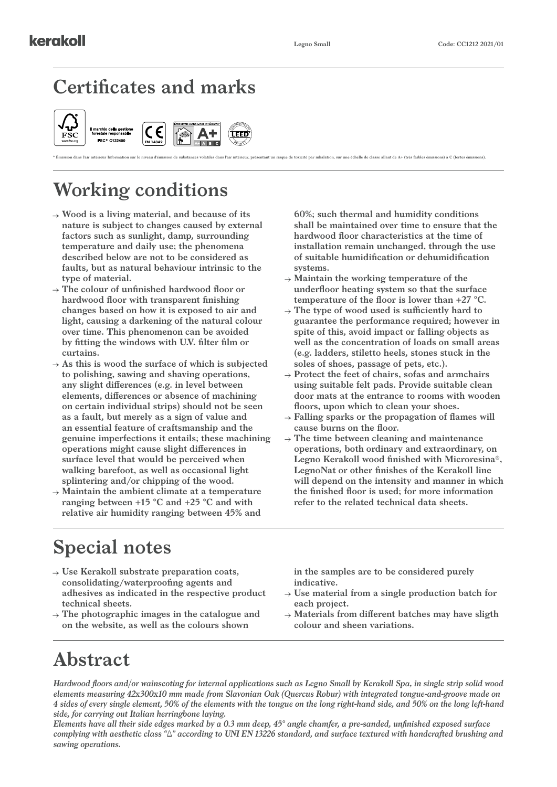## **Certificates and marks**



\* Emission dans l'air intérieur Information sur le niveau d'émission de substances volatiles dans l'air intérieur, présentant un risque de toxicité par inhalation, sur une échelle de classe allant de A+ (très faibles émiss

Ñ٦

## **Working conditions**

- **Wood is a living material, and because of its nature is subject to changes caused by external factors such as sunlight, damp, surrounding temperature and daily use; the phenomena described below are not to be considered as faults, but as natural behaviour intrinsic to the type of material.**
- **The colour of unfinished hardwood floor or hardwood floor with transparent finishing changes based on how it is exposed to air and light, causing a darkening of the natural colour over time. This phenomenon can be avoided by fitting the windows with U.V. filter film or curtains.**
- $\rightarrow$  As this is wood the surface of which is subjected **to polishing, sawing and shaving operations, any slight differences (e.g. in level between elements, differences or absence of machining on certain individual strips) should not be seen as a fault, but merely as a sign of value and an essential feature of craftsmanship and the genuine imperfections it entails; these machining operations might cause slight differences in surface level that would be perceived when walking barefoot, as well as occasional light splintering and/or chipping of the wood.**
- **Maintain the ambient climate at a temperature ranging between +15 °C and +25 °C and with relative air humidity ranging between 45% and**

**60%; such thermal and humidity conditions shall be maintained over time to ensure that the hardwood floor characteristics at the time of installation remain unchanged, through the use of suitable humidification or dehumidification systems.**

- **Maintain the working temperature of the underfloor heating system so that the surface temperature of the floor is lower than +27 °C.**
- **The type of wood used is sufficiently hard to guarantee the performance required; however in spite of this, avoid impact or falling objects as well as the concentration of loads on small areas (e.g. ladders, stiletto heels, stones stuck in the soles of shoes, passage of pets, etc.).**
- **Protect the feet of chairs, sofas and armchairs using suitable felt pads. Provide suitable clean door mats at the entrance to rooms with wooden floors, upon which to clean your shoes.**
- **Falling sparks or the propagation of flames will cause burns on the floor.**
- **The time between cleaning and maintenance operations, both ordinary and extraordinary, on Legno Kerakoll wood finished with Microresina®, LegnoNat or other finishes of the Kerakoll line will depend on the intensity and manner in which the finished floor is used; for more information refer to the related technical data sheets.**

## **Special notes**

- **Use Kerakoll substrate preparation coats, consolidating/waterproofing agents and adhesives as indicated in the respective product technical sheets.**
- **The photographic images in the catalogue and on the website, as well as the colours shown**

**in the samples are to be considered purely indicative.**

- **Use material from a single production batch for each project.**
- **Materials from different batches may have sligth colour and sheen variations.**

## **Abstract**

*Hardwood floors and/or wainscoting for internal applications such as Legno Small by Kerakoll Spa, in single strip solid wood elements measuring 42x300x10 mm made from Slavonian Oak (Quercus Robur) with integrated tongue-and-groove made on 4 sides of every single element, 50% of the elements with the tongue on the long right-hand side, and 50% on the long left-hand side, for carrying out Italian herringbone laying.*

*Elements have all their side edges marked by a 0.3 mm deep, 45° angle chamfer, a pre-sanded, unfinished exposed surface complying with aesthetic class "Δ" according to UNI EN 13226 standard, and surface textured with handcrafted brushing and sawing operations.*